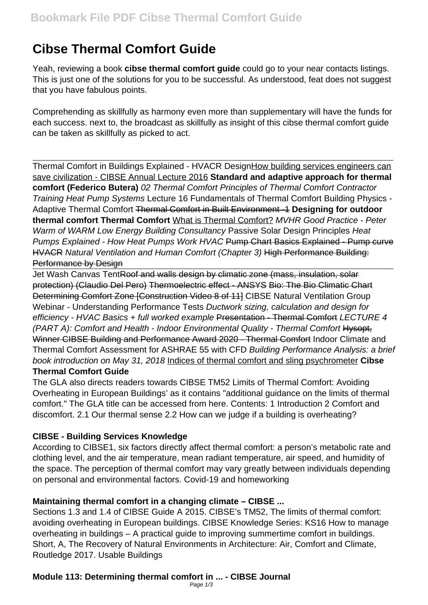# **Cibse Thermal Comfort Guide**

Yeah, reviewing a book **cibse thermal comfort guide** could go to your near contacts listings. This is just one of the solutions for you to be successful. As understood, feat does not suggest that you have fabulous points.

Comprehending as skillfully as harmony even more than supplementary will have the funds for each success. next to, the broadcast as skillfully as insight of this cibse thermal comfort guide can be taken as skillfully as picked to act.

Thermal Comfort in Buildings Explained - HVACR DesignHow building services engineers can save civilization - CIBSE Annual Lecture 2016 **Standard and adaptive approach for thermal comfort (Federico Butera)** 02 Thermal Comfort Principles of Thermal Comfort Contractor Training Heat Pump Systems Lecture 16 Fundamentals of Thermal Comfort Building Physics - Adaptive Thermal Comfort Thermal Comfort in Built Environment -1 **Designing for outdoor thermal comfort Thermal Comfort** What is Thermal Comfort? MVHR Good Practice - Peter Warm of WARM Low Energy Building Consultancy Passive Solar Design Principles Heat Pumps Explained - How Heat Pumps Work HVAC Pump Chart Basics Explained - Pump curve HVACR Natural Ventilation and Human Comfort (Chapter 3) High Performance Building: Performance by Design

Jet Wash Canvas TentRoof and walls design by climatic zone (mass, insulation, solar protection) (Claudio Del Pero) Thermoelectric effect - ANSYS Bio: The Bio Climatic Chart Determining Comfort Zone [Construction Video 8 of 11] CIBSE Natural Ventilation Group Webinar - Understanding Performance Tests Ductwork sizing, calculation and design for efficiency - HVAC Basics + full worked example Presentation - Thermal Comfort LECTURE 4 (PART A): Comfort and Health - Indoor Environmental Quality - Thermal Comfort Hysopt, Winner CIBSE Building and Performance Award 2020 - Thermal Comfort Indoor Climate and Thermal Comfort Assessment for ASHRAE 55 with CFD Building Performance Analysis: a brief book introduction on May 31, 2018 Indices of thermal comfort and sling psychrometer **Cibse Thermal Comfort Guide**

The GLA also directs readers towards CIBSE TM52 Limits of Thermal Comfort: Avoiding Overheating in European Buildings' as it contains "additional guidance on the limits of thermal comfort." The GLA title can be accessed from here. Contents: 1 Introduction 2 Comfort and discomfort. 2.1 Our thermal sense 2.2 How can we judge if a building is overheating?

### **CIBSE - Building Services Knowledge**

According to CIBSE1, six factors directly affect thermal comfort: a person's metabolic rate and clothing level, and the air temperature, mean radiant temperature, air speed, and humidity of the space. The perception of thermal comfort may vary greatly between individuals depending on personal and environmental factors. Covid-19 and homeworking

# **Maintaining thermal comfort in a changing climate – CIBSE ...**

Sections 1.3 and 1.4 of CIBSE Guide A 2015. CIBSE's TM52, The limits of thermal comfort: avoiding overheating in European buildings. CIBSE Knowledge Series: KS16 How to manage overheating in buildings – A practical guide to improving summertime comfort in buildings. Short, A, The Recovery of Natural Environments in Architecture: Air, Comfort and Climate, Routledge 2017. Usable Buildings

# **Module 113: Determining thermal comfort in ... - CIBSE Journal**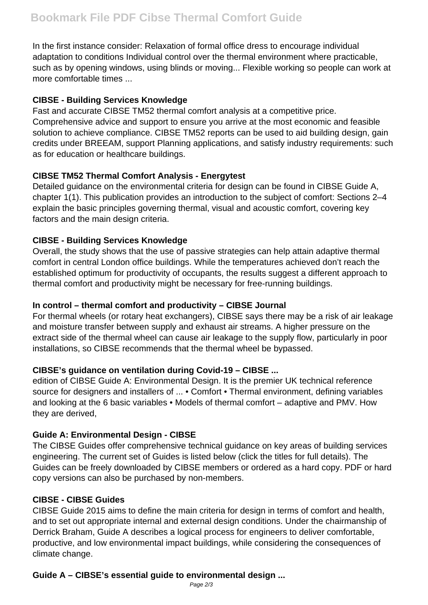In the first instance consider: Relaxation of formal office dress to encourage individual adaptation to conditions Individual control over the thermal environment where practicable, such as by opening windows, using blinds or moving... Flexible working so people can work at more comfortable times ...

### **CIBSE - Building Services Knowledge**

Fast and accurate CIBSE TM52 thermal comfort analysis at a competitive price. Comprehensive advice and support to ensure you arrive at the most economic and feasible solution to achieve compliance. CIBSE TM52 reports can be used to aid building design, gain credits under BREEAM, support Planning applications, and satisfy industry requirements: such as for education or healthcare buildings.

## **CIBSE TM52 Thermal Comfort Analysis - Energytest**

Detailed guidance on the environmental criteria for design can be found in CIBSE Guide A, chapter 1(1). This publication provides an introduction to the subject of comfort: Sections 2–4 explain the basic principles governing thermal, visual and acoustic comfort, covering key factors and the main design criteria.

## **CIBSE - Building Services Knowledge**

Overall, the study shows that the use of passive strategies can help attain adaptive thermal comfort in central London office buildings. While the temperatures achieved don't reach the established optimum for productivity of occupants, the results suggest a different approach to thermal comfort and productivity might be necessary for free-running buildings.

## **In control – thermal comfort and productivity – CIBSE Journal**

For thermal wheels (or rotary heat exchangers), CIBSE says there may be a risk of air leakage and moisture transfer between supply and exhaust air streams. A higher pressure on the extract side of the thermal wheel can cause air leakage to the supply flow, particularly in poor installations, so CIBSE recommends that the thermal wheel be bypassed.

# **CIBSE's guidance on ventilation during Covid-19 – CIBSE ...**

edition of CIBSE Guide A: Environmental Design. It is the premier UK technical reference source for designers and installers of ... • Comfort • Thermal environment, defining variables and looking at the 6 basic variables • Models of thermal comfort – adaptive and PMV. How they are derived,

### **Guide A: Environmental Design - CIBSE**

The CIBSE Guides offer comprehensive technical guidance on key areas of building services engineering. The current set of Guides is listed below (click the titles for full details). The Guides can be freely downloaded by CIBSE members or ordered as a hard copy. PDF or hard copy versions can also be purchased by non-members.

### **CIBSE - CIBSE Guides**

CIBSE Guide 2015 aims to define the main criteria for design in terms of comfort and health, and to set out appropriate internal and external design conditions. Under the chairmanship of Derrick Braham, Guide A describes a logical process for engineers to deliver comfortable, productive, and low environmental impact buildings, while considering the consequences of climate change.

# **Guide A – CIBSE's essential guide to environmental design ...**